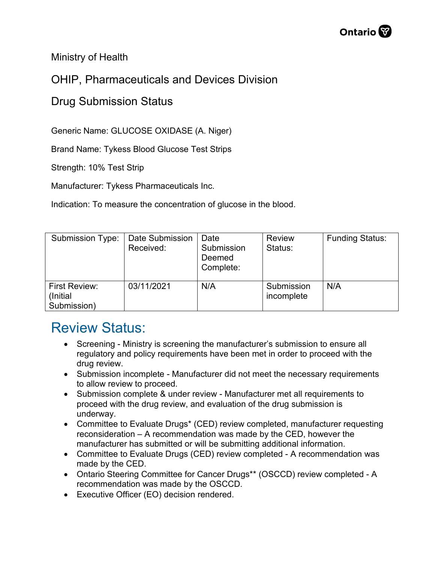Ministry of Health

## OHIP, Pharmaceuticals and Devices Division

## Drug Submission Status

Generic Name: GLUCOSE OXIDASE (A. Niger)

Brand Name: Tykess Blood Glucose Test Strips

Strength: 10% Test Strip

Manufacturer: Tykess Pharmaceuticals Inc.

Indication: To measure the concentration of glucose in the blood.

| <b>Submission Type:</b>                  | Date Submission<br>Received: | Date<br>Submission<br>Deemed<br>Complete: | <b>Review</b><br>Status: | <b>Funding Status:</b> |
|------------------------------------------|------------------------------|-------------------------------------------|--------------------------|------------------------|
| First Review:<br>(Initial<br>Submission) | 03/11/2021                   | N/A                                       | Submission<br>incomplete | N/A                    |

## Review Status:

- Screening Ministry is screening the manufacturer's submission to ensure all regulatory and policy requirements have been met in order to proceed with the drug review.
- Submission incomplete Manufacturer did not meet the necessary requirements to allow review to proceed.
- Submission complete & under review Manufacturer met all requirements to proceed with the drug review, and evaluation of the drug submission is underway.
- Committee to Evaluate Drugs\* (CED) review completed, manufacturer requesting reconsideration – A recommendation was made by the CED, however the manufacturer has submitted or will be submitting additional information.
- Committee to Evaluate Drugs (CED) review completed A recommendation was made by the CED.
- Ontario Steering Committee for Cancer Drugs\*\* (OSCCD) review completed A recommendation was made by the OSCCD.
- Executive Officer (EO) decision rendered.